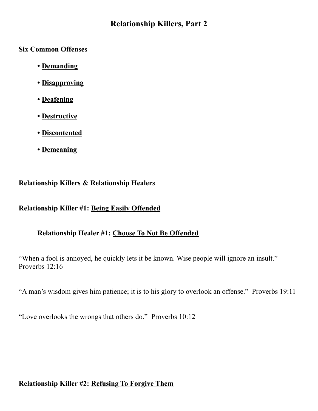# **Relationship Killers, Part 2**

**Six Common Offenses**

- **• Demanding**
- **• Disapproving**
- **• Deafening**
- **• Destructive**
- **• Discontented**
- **• Demeaning**

### **Relationship Killers & Relationship Healers**

### **Relationship Killer #1: Being Easily Offended**

# **Relationship Healer #1: Choose To Not Be Offended**

"When a fool is annoyed, he quickly lets it be known. Wise people will ignore an insult." Proverbs 12:16

"A man's wisdom gives him patience; it is to his glory to overlook an offense." Proverbs 19:11

"Love overlooks the wrongs that others do." Proverbs 10:12

# **Relationship Killer #2: Refusing To Forgive Them**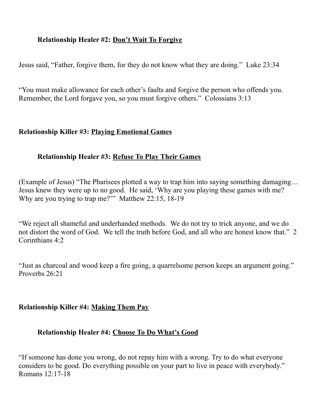### **Relationship Healer #2: Don't Wait To Forgive**

Jesus said, "Father, forgive them, for they do not know what they are doing." Luke 23:34

"You must make allowance for each other's faults and forgive the person who offends you. Remember, the Lord forgave you, so you must forgive others." Colossians 3:13

#### **Relationship Killer #3: Playing Emotional Games**

#### **Relationship Healer #3: Refuse To Play Their Games**

(Example of Jesus) "The Pharisees plotted a way to trap him into saying something damaging… Jesus knew they were up to no good. He said, 'Why are you playing these games with me? Why are you trying to trap me?" Matthew 22:15, 18-19

"We reject all shameful and underhanded methods. We do not try to trick anyone, and we do not distort the word of God. We tell the truth before God, and all who are honest know that." 2 Corinthians 4:2

"Just as charcoal and wood keep a fire going, a quarrelsome person keeps an argument going." Proverbs 26:21

#### **Relationship Killer #4: Making Them Pay**

#### **Relationship Healer #4: Choose To Do What's Good**

"If someone has done you wrong, do not repay him with a wrong. Try to do what everyone considers to be good. Do everything possible on your part to live in peace with everybody." Romans 12:17-18